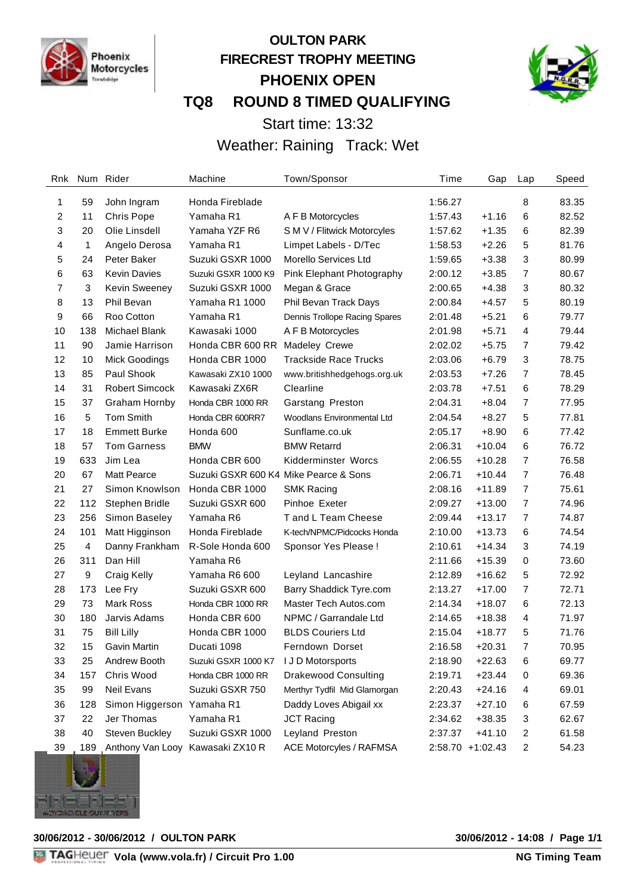

# **OULTON PARK FIRECREST TROPHY MEETING PHOENIX OPEN TQ8 ROUND 8 TIMED QUALIFYING**



Start time: 13:32

Weather: Raining Track: Wet

| Rnk            |     | Num Rider                            | Machine                               | Town/Sponsor                      | Time    | Gap              | Lap                     | Speed |
|----------------|-----|--------------------------------------|---------------------------------------|-----------------------------------|---------|------------------|-------------------------|-------|
| 1              | 59  | John Ingram                          | Honda Fireblade                       |                                   | 1:56.27 |                  | 8                       | 83.35 |
| $\overline{c}$ | 11  | <b>Chris Pope</b>                    | Yamaha R1                             | A F B Motorcycles                 | 1:57.43 | $+1.16$          | 6                       | 82.52 |
| 3              | 20  | Olie Linsdell                        | Yamaha YZF R6                         | S M V / Flitwick Motorcyles       | 1:57.62 | $+1.35$          | 6                       | 82.39 |
| 4              | 1   | Angelo Derosa                        | Yamaha R1                             | Limpet Labels - D/Tec             | 1:58.53 | $+2.26$          | 5                       | 81.76 |
| 5              | 24  | Peter Baker                          | Suzuki GSXR 1000                      | Morello Services Ltd              | 1:59.65 | $+3.38$          | 3                       | 80.99 |
| 6              | 63  | <b>Kevin Davies</b>                  | Suzuki GSXR 1000 K9                   | Pink Elephant Photography         | 2:00.12 | $+3.85$          | 7                       | 80.67 |
| 7              | 3   | Kevin Sweeney                        | Suzuki GSXR 1000                      | Megan & Grace                     | 2:00.65 | $+4.38$          | 3                       | 80.32 |
| 8              | 13  | Phil Bevan                           | Yamaha R1 1000                        | Phil Bevan Track Days             | 2:00.84 | $+4.57$          | 5                       | 80.19 |
| 9              | 66  | Roo Cotton                           | Yamaha R1                             | Dennis Trollope Racing Spares     | 2:01.48 | $+5.21$          | 6                       | 79.77 |
| 10             | 138 | Michael Blank                        | Kawasaki 1000                         | A F B Motorcycles                 | 2:01.98 | $+5.71$          | 4                       | 79.44 |
| 11             | 90  | Jamie Harrison                       | Honda CBR 600 RR                      | Madeley Crewe                     | 2:02.02 | $+5.75$          | 7                       | 79.42 |
| 12             | 10  | Mick Goodings                        | Honda CBR 1000                        | <b>Trackside Race Trucks</b>      | 2:03.06 | $+6.79$          | 3                       | 78.75 |
| 13             | 85  | Paul Shook                           | Kawasaki ZX10 1000                    | www.britishhedgehogs.org.uk       | 2:03.53 | $+7.26$          | $\overline{7}$          | 78.45 |
| 14             | 31  | <b>Robert Simcock</b>                | Kawasaki ZX6R                         | Clearline                         | 2:03.78 | $+7.51$          | 6                       | 78.29 |
| 15             | 37  | Graham Hornby                        | Honda CBR 1000 RR                     | Garstang Preston                  | 2:04.31 | $+8.04$          | $\overline{7}$          | 77.95 |
| 16             | 5   | <b>Tom Smith</b>                     | Honda CBR 600RR7                      | <b>Woodlans Environmental Ltd</b> | 2:04.54 | $+8.27$          | 5                       | 77.81 |
| 17             | 18  | <b>Emmett Burke</b>                  | Honda 600                             | Sunflame.co.uk                    | 2:05.17 | $+8.90$          | 6                       | 77.42 |
| 18             | 57  | <b>Tom Garness</b>                   | <b>BMW</b>                            | <b>BMW Retarrd</b>                | 2:06.31 | $+10.04$         | 6                       | 76.72 |
| 19             | 633 | Jim Lea                              | Honda CBR 600                         | Kidderminster Worcs               | 2:06.55 | $+10.28$         | $\overline{7}$          | 76.58 |
| 20             | 67  | <b>Matt Pearce</b>                   | Suzuki GSXR 600 K4 Mike Pearce & Sons |                                   | 2:06.71 | $+10.44$         | $\overline{7}$          | 76.48 |
| 21             | 27  | Simon Knowlson                       | Honda CBR 1000                        | <b>SMK Racing</b>                 | 2:08.16 | $+11.89$         | 7                       | 75.61 |
| 22             | 112 | Stephen Bridle                       | Suzuki GSXR 600                       | Pinhoe Exeter                     | 2:09.27 | $+13.00$         | 7                       | 74.96 |
| 23             | 256 | Simon Baseley                        | Yamaha R6                             | T and L Team Cheese               | 2:09.44 | $+13.17$         | 7                       | 74.87 |
| 24             | 101 | Matt Higginson                       | Honda Fireblade                       | K-tech/NPMC/Pidcocks Honda        | 2:10.00 | $+13.73$         | 6                       | 74.54 |
| 25             | 4   | Danny Frankham                       | R-Sole Honda 600                      | Sponsor Yes Please !              | 2:10.61 | $+14.34$         | 3                       | 74.19 |
| 26             | 311 | Dan Hill                             | Yamaha R6                             |                                   | 2:11.66 | $+15.39$         | 0                       | 73.60 |
| 27             | 9   | Craig Kelly                          | Yamaha R6 600                         | Leyland Lancashire                | 2:12.89 | $+16.62$         | 5                       | 72.92 |
| 28             | 173 | Lee Fry                              | Suzuki GSXR 600                       | Barry Shaddick Tyre.com           | 2:13.27 | $+17.00$         | $\overline{7}$          | 72.71 |
| 29             | 73  | <b>Mark Ross</b>                     | Honda CBR 1000 RR                     | Master Tech Autos.com             | 2:14.34 | $+18.07$         | 6                       | 72.13 |
| 30             | 180 | Jarvis Adams                         | Honda CBR 600                         | NPMC / Garrandale Ltd             | 2:14.65 | $+18.38$         | 4                       | 71.97 |
| 31             | 75  | <b>Bill Lilly</b>                    | Honda CBR 1000                        | <b>BLDS Couriers Ltd</b>          | 2:15.04 | $+18.77$         | 5                       | 71.76 |
| 32             | 15  | Gavin Martin                         | Ducati 1098                           | Ferndown Dorset                   | 2:16.58 | $+20.31$         | 7                       | 70.95 |
| 33             | 25  | Andrew Booth                         | Suzuki GSXR 1000 K7                   | I J D Motorsports                 | 2:18.90 | $+22.63$         | 6                       | 69.77 |
| 34             | 157 | Chris Wood                           | Honda CBR 1000 RR                     | <b>Drakewood Consulting</b>       | 2:19.71 | $+23.44$         | 0                       | 69.36 |
| 35             | 99  | <b>Neil Evans</b>                    | Suzuki GSXR 750                       | Merthyr Tydfil Mid Glamorgan      | 2:20.43 | $+24.16$         | 4                       | 69.01 |
| 36             | 128 | Simon Higgerson Yamaha R1            |                                       | Daddy Loves Abigail xx            | 2:23.37 | $+27.10$         | 6                       | 67.59 |
| 37             | 22  | Jer Thomas                           | Yamaha R1                             | <b>JCT Racing</b>                 | 2:34.62 | $+38.35$         | 3                       | 62.67 |
| 38             | 40  | Steven Buckley                       | Suzuki GSXR 1000                      | Leyland Preston                   | 2:37.37 | $+41.10$         | $\overline{\mathbf{c}}$ | 61.58 |
| 39             |     | 189 Anthony Van Looy Kawasaki ZX10 R |                                       | <b>ACE Motorcyles / RAFMSA</b>    |         | 2:58.70 +1:02.43 | $\boldsymbol{2}$        | 54.23 |

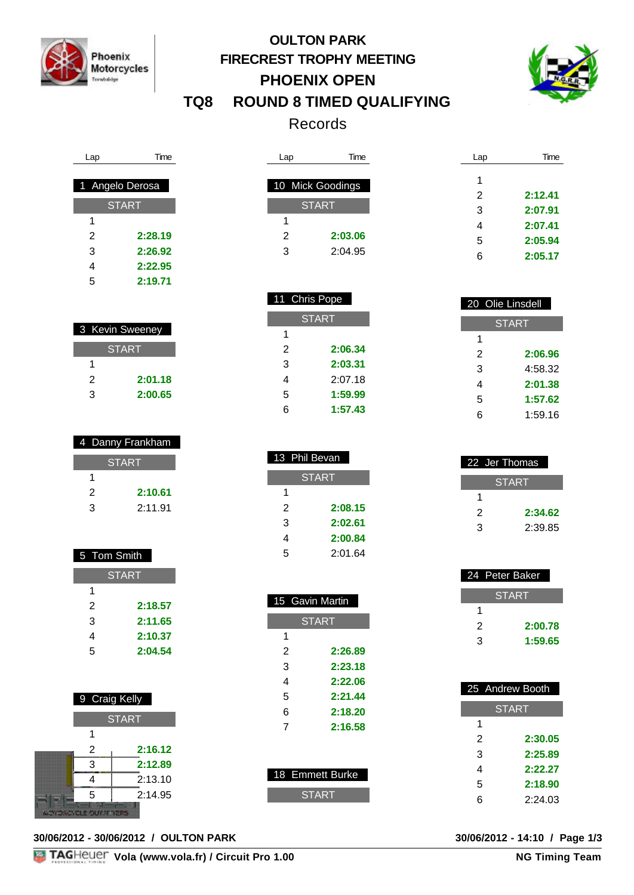

Lap Time

 **2:28.19 2:26.92 2:22.95 2:19.71**

 3 Kevin Sweeney **START** 

> **2:01.18 2:00.65**

 4 Danny Frankham **START** 

> **2:10.61** 2:11.91

 1 Angelo Derosa **START** 

# **OULTON PARK FIRECREST TROPHY MEETING PHOENIX OPEN TQ8 ROUND 8 TIMED QUALIFYING**



Records

| Lap | Time             | Lap | Time    |
|-----|------------------|-----|---------|
|     |                  |     |         |
|     | 10 Mick Goodings | 1   |         |
|     |                  | 2   | 2:12.41 |
|     | <b>START</b>     | 3   | 2:07.91 |
| 1   |                  | 4   | 2:07.41 |
| 2   | 2:03.06          | 5   | 2:05.94 |
| 3   | 2:04.95          | 6   | 2:05.17 |

| 20 Olie Linsdell |         |  |
|------------------|---------|--|
| <b>START</b>     |         |  |
| 1                |         |  |
| 2                | 2:06.96 |  |
| 3                | 4:58.32 |  |
| 4                | 2:01.38 |  |
| 5                | 1:57.62 |  |
| 6                | 1:59.16 |  |

| 22 Jer Thomas |         |  |  |
|---------------|---------|--|--|
|               | START   |  |  |
| 1             |         |  |  |
| 2             | 2:34.62 |  |  |
| 3             | 2:39.85 |  |  |

| 24 Peter Baker |         |
|----------------|---------|
|                | START   |
|                |         |
| 2              | 2:00.78 |
| з              | 1:59.65 |

|              | 25 Andrew Booth |  |
|--------------|-----------------|--|
| <u>START</u> |                 |  |
| 1            |                 |  |
| 2            | 2:30.05         |  |
| 3            | 2:25.89         |  |
| 4            | 2:22.27         |  |
| 5            | 2:18.90         |  |
| 6            | 2:24.03         |  |

| 5 Tom Smith    |              |
|----------------|--------------|
|                | <b>START</b> |
| 1              |              |
| $\mathfrak{p}$ | 2:18.57      |
| 3              | 2:11.65      |
| 4              | 2:10.37      |
| 5              | 2:04.54      |
|                |              |

| 9 Craig Kelly             |         |  |
|---------------------------|---------|--|
| <b>START</b>              |         |  |
|                           |         |  |
| 2                         | 2:16.12 |  |
| 3                         | 2:12.89 |  |
|                           | 2:13.10 |  |
| 5                         | 2:14.95 |  |
| <b>MOTONCYCLE OUT THE</b> |         |  |

**30/06/2012 - 30/06/2012 / OULTON PARK 30/06/2012 - 14:10 / Page 1/3**

| 1 |               |
|---|---------------|
| 2 | 2:03.06       |
| 3 | 2:04.95       |
|   |               |
|   |               |
|   | 11 Chris Pope |
|   | <b>START</b>  |
| 1 |               |
| 2 | 2:06.34       |
| 3 | 2:03.31       |

| 13 Phil Bevan |         |  |  |  |
|---------------|---------|--|--|--|
| <b>START</b>  |         |  |  |  |
| 1             |         |  |  |  |
| 2             | 2:08.15 |  |  |  |
| 3             | 2:02.61 |  |  |  |
| 4             | 2:00.84 |  |  |  |
| 5             | 2:01.64 |  |  |  |

 2:07.18 **1:59.99 1:57.43**

| 15 Gavin Martin |              |  |  |  |
|-----------------|--------------|--|--|--|
|                 | <b>START</b> |  |  |  |
| 1               |              |  |  |  |
| 2               | 2:26.89      |  |  |  |
| 3               | 2:23.18      |  |  |  |
| 4               | 2:22.06      |  |  |  |
| 5               | 2:21.44      |  |  |  |
| 6               | 2:18.20      |  |  |  |
| 7               | 2:16.58      |  |  |  |
|                 |              |  |  |  |
|                 |              |  |  |  |
| 18 Emmett Burke |              |  |  |  |
| <b>START</b>    |              |  |  |  |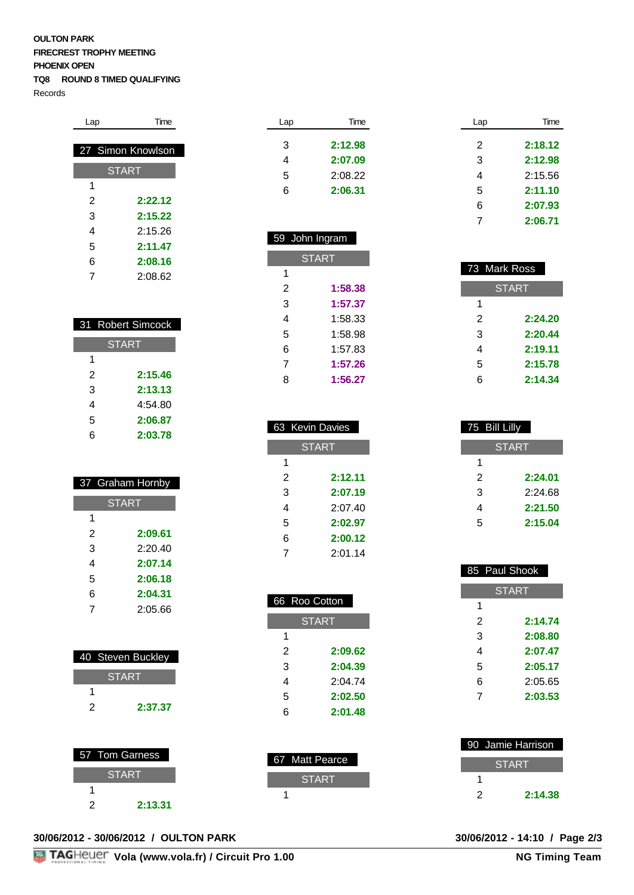#### **OULTON PARK FIRECREST TROPHY MEETING PHOENIX OPEN TQ8 ROUND 8 TIMED QUALIFYING**

Records

| Lap | Time              |
|-----|-------------------|
|     |                   |
|     | 27 Simon Knowlson |
|     | <b>START</b>      |
| 1   |                   |
| 2   | 2:22.12           |
| 3   | 2:15.22           |
| 4   | 2:15.26           |
| 5   | 2:11.47           |
| 6   | 2:08.16           |
| 7   | 2:08.62           |

| 31 Robert Simcock |         |  |  |
|-------------------|---------|--|--|
| <b>START</b>      |         |  |  |
| 1                 |         |  |  |
| $\mathfrak{p}$    | 2:15.46 |  |  |
| 3                 | 2:13.13 |  |  |
| 4                 | 4:54.80 |  |  |
| 5                 | 2:06.87 |  |  |
| ี                 | 2:03.78 |  |  |

I

| 37 Graham Hornby |         |  |  |
|------------------|---------|--|--|
| <b>START</b>     |         |  |  |
| 1                |         |  |  |
| 2                | 2:09.61 |  |  |
| 3                | 2:20.40 |  |  |
| 4                | 2:07.14 |  |  |
| 5                | 2:06.18 |  |  |
| 6                | 2:04.31 |  |  |
| 7                | 2:05.66 |  |  |
|                  |         |  |  |

|   | 40 Steven Buckley |
|---|-------------------|
|   | <b>START</b>      |
|   |                   |
| 2 | 2:37.37           |

| Time    |
|---------|
| 2:12.98 |
| 2:07.09 |
| 2:08.22 |
| 2:06.31 |
|         |

| John Ingram<br>59 |         |  |  |
|-------------------|---------|--|--|
| <b>START</b>      |         |  |  |
| 1                 |         |  |  |
| $\mathfrak{p}$    | 1:58.38 |  |  |
| 3                 | 1:57.37 |  |  |
| 4                 | 1:58.33 |  |  |
| 5                 | 1:58.98 |  |  |
| 6                 | 1:57.83 |  |  |
| 7                 | 1:57.26 |  |  |
| R                 | 1:56.27 |  |  |

| 63 Kevin Davies |         |  |  |
|-----------------|---------|--|--|
| <b>START</b>    |         |  |  |
| 1               |         |  |  |
| 2               | 2:12.11 |  |  |
| 3               | 2:07.19 |  |  |
| 4               | 2:07.40 |  |  |
| 5               | 2:02.97 |  |  |
| 6               | 2:00.12 |  |  |
| 7               | 2:01.14 |  |  |

| 66 Roo Cotton |         |  |  |
|---------------|---------|--|--|
| <b>START</b>  |         |  |  |
| 1             |         |  |  |
| 2             | 2:09.62 |  |  |
| 3             | 2:04.39 |  |  |
| 4             | 2:04.74 |  |  |
| 5             | 2:02.50 |  |  |
| հ             | 2:01.48 |  |  |

| Lap | Time    |
|-----|---------|
| 2   | 2:18.12 |
| 3   | 2:12.98 |
| 4   | 2:15.56 |
| 5   | 2:11.10 |
| 6   | 2:07.93 |
|     | 2:06.71 |

| 73 Mark Ross |              |
|--------------|--------------|
|              | <b>START</b> |
| 1            |              |
| 2            | 2:24.20      |
| 3            | 2:20.44      |
| 4            | 2:19.11      |
| 5            | 2:15.78      |
| 6            | 2:14.34      |

| 75 Bill Lilly |         |  |  |
|---------------|---------|--|--|
| <b>START</b>  |         |  |  |
| 1             |         |  |  |
| 2             | 2:24.01 |  |  |
| 3             | 2:24.68 |  |  |
| 4             | 2:21.50 |  |  |
| 5             | 2:15.04 |  |  |

| 85 Paul Shook |         |  |  |  |
|---------------|---------|--|--|--|
|               | START   |  |  |  |
| 1             |         |  |  |  |
| 2             | 2:14.74 |  |  |  |
| 3             | 2:08.80 |  |  |  |
| 4             | 2:07.47 |  |  |  |
| 5             | 2:05.17 |  |  |  |
| 6             | 2:05.65 |  |  |  |
| 7             | 2:03.53 |  |  |  |
|               |         |  |  |  |

|   |                |                | 90 Jamie Harrison |
|---|----------------|----------------|-------------------|
|   | 57 Tom Garness | 67 Matt Pearce | <b>START</b>      |
|   | <b>START</b>   | <b>START</b>   |                   |
|   |                |                | 2:14.38           |
| ◠ | 2:13.31        |                |                   |

**30/06/2012 - 30/06/2012 / OULTON PARK 30/06/2012 - 14:10 / Page 2/3**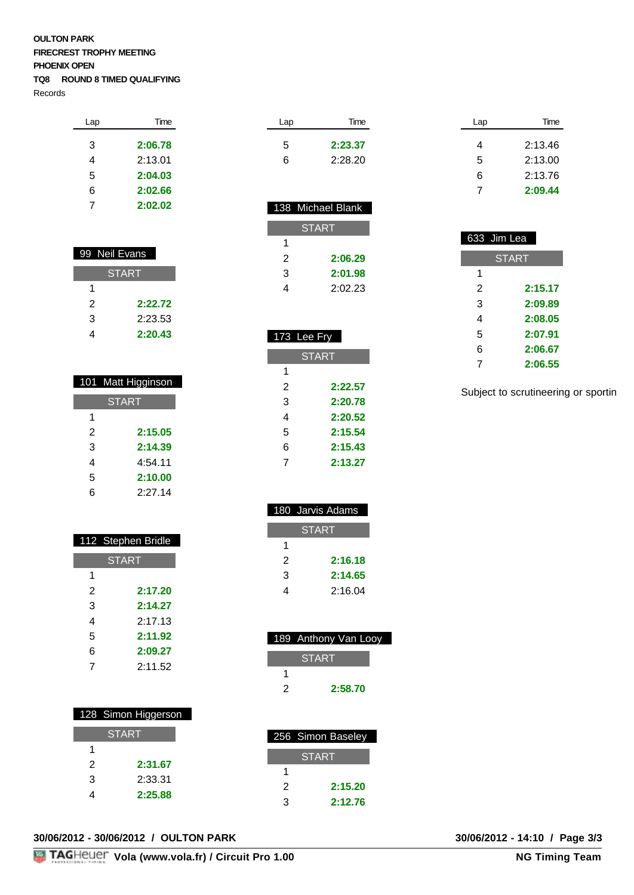#### **OULTON PARK FIRECREST TROPHY MEETING PHOENIX OPEN TQ8 ROUND 8 TIMED QUALIFYING**

Records

| Lap | Time    |
|-----|---------|
| 3   | 2:06.78 |
| 4   | 2:13.01 |
| 5   | 2:04.03 |
| 6   | 2:02.66 |
| 7   | 2:02.02 |
|     |         |

| 99 Neil Evans |         |
|---------------|---------|
| <b>START</b>  |         |
| 1             |         |
| 2             | 2:22.72 |
| 3             | 2:23.53 |
|               | 2:20.43 |

|              | 101 Matt Higginson |
|--------------|--------------------|
| <b>START</b> |                    |
| 1            |                    |
| 2            | 2:15.05            |
| 3            | 2:14.39            |
| 4            | 4:54.11            |
| 5            | 2:10.00            |
| 6            | 2.27.14            |

|              | 112 Stephen Bridle |
|--------------|--------------------|
| <b>START</b> |                    |
| 1            |                    |
| 2            | 2:17.20            |
| 3            | 2:14.27            |
| 4            | 2.17.13            |
| 5            | 2:11.92            |
| 6            | 2:09.27            |
| 7            | 2.11.52            |

|   | 128 Simon Higgerson |
|---|---------------------|
|   | <b>START</b>        |
| 1 |                     |
| 2 | 2:31.67             |
| 3 | 2:33.31             |
|   | 2:25.88             |

| Time    | Lap |
|---------|-----|
| 2:23.37 | 5   |
| 2:28.20 | 6   |
|         |     |
|         |     |

|   | 138 Michael Blank |
|---|-------------------|
|   | <b>START</b>      |
| 1 |                   |
| 2 | 2:06.29           |
| 3 | 2:01.98           |
|   | 2:02.23           |

### 173 Lee Fry **START 2:22.57 2:20.78 2:20.52 2:15.54 2:15.43 2:13.27**

|   | 180 Jarvis Adams |
|---|------------------|
|   | <b>START</b>     |
| 1 |                  |
| 2 | 2:16.18          |
| 3 | 2:14.65          |
|   | 2:16.04          |

|   | 189 Anthony Van Looy |
|---|----------------------|
|   | <b>START</b>         |
|   |                      |
| 2 | 2:58.70              |

|   | 256 Simon Baseley |
|---|-------------------|
|   | ISTART            |
|   |                   |
| 2 | 2:15.20           |
| ঽ | 2:12.76           |

| Lap | Time    |
|-----|---------|
| 4   | 2:13.46 |
| 5   | 2:13.00 |
| 6   | 2:13.76 |
|     | 2:09.44 |
|     |         |

|                | 633 Jim Lea  |
|----------------|--------------|
|                | <b>START</b> |
| 1              |              |
| $\overline{2}$ | 2:15.17      |
| 3              | 2:09.89      |
| 4              | 2:08.05      |
| 5              | 2:07.91      |
| 6              | 2:06.67      |
| 7              | 2:06.55      |

Subject to scrutineering or sportin

| 30/06/2012 - 30/06/2012 / OULTON PARK | 30/06/2012 - 14:10 / Page 3/3 |
|---------------------------------------|-------------------------------|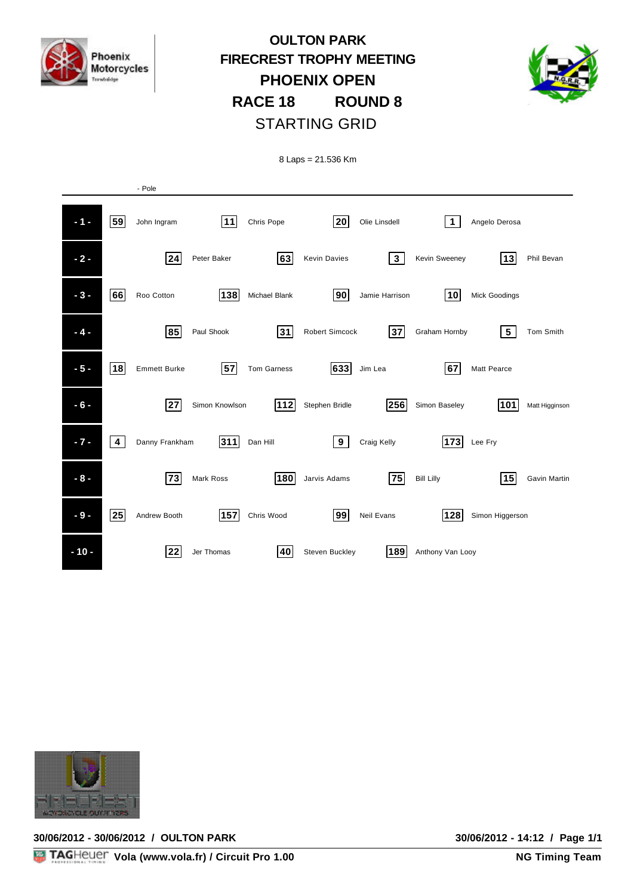

## **OULTON PARK FIRECREST TROPHY MEETING PHOENIX OPEN RACE 18 ROUND 8** STARTING GRID



8 Laps = 21.536 Km

|        |              | - Pole              |                |                    |                     |                |                    |                      |                |
|--------|--------------|---------------------|----------------|--------------------|---------------------|----------------|--------------------|----------------------|----------------|
| $-1 -$ | 59           | John Ingram         | 11             | Chris Pope         | 20                  | Olie Linsdell  | $\mathbf{1}$       | Angelo Derosa        |                |
| $-2-$  |              | $\sqrt{24}$         | Peter Baker    | 63                 | <b>Kevin Davies</b> | $\mathbf{3}$   | Kevin Sweeney      | $\vert$ 13 $\vert$   | Phil Bevan     |
| $-3-$  | 66           | Roo Cotton          | 138            | Michael Blank      | 90                  | Jamie Harrison | $\vert$ 10 $\vert$ | <b>Mick Goodings</b> |                |
| $-4-$  |              | 85                  | Paul Shook     | 31                 | Robert Simcock      | 37             | Graham Hornby      | $5\phantom{.0}$      | Tom Smith      |
| $-5-$  | 18           | <b>Emmett Burke</b> | 57             | <b>Tom Garness</b> | 633                 | Jim Lea        | 67                 | <b>Matt Pearce</b>   |                |
| $-6-$  |              | 27                  | Simon Knowlson | 112                | Stephen Bridle      | 256            | Simon Baseley      | 101                  | Matt Higginson |
| $-7 -$ | 4            | Danny Frankham      | 311            | Dan Hill           | 9                   | Craig Kelly    | 173                | Lee Fry              |                |
| $-8-$  |              | 73                  | Mark Ross      | 180                | Jarvis Adams        | 75             | <b>Bill Lilly</b>  | 15                   | Gavin Martin   |
| $-9-$  | $\boxed{25}$ | Andrew Booth        | 157            | Chris Wood         | 99                  | Neil Evans     | 128                | Simon Higgerson      |                |
| $-10-$ |              | 22                  | Jer Thomas     | 40                 | Steven Buckley      | 189            | Anthony Van Looy   |                      |                |



**30/06/2012 - 30/06/2012 / OULTON PARK 30/06/2012 - 14:12 / Page 1/1**

**30/06/2012 - 14:12 / Page 1/1**<br>NG Timing Team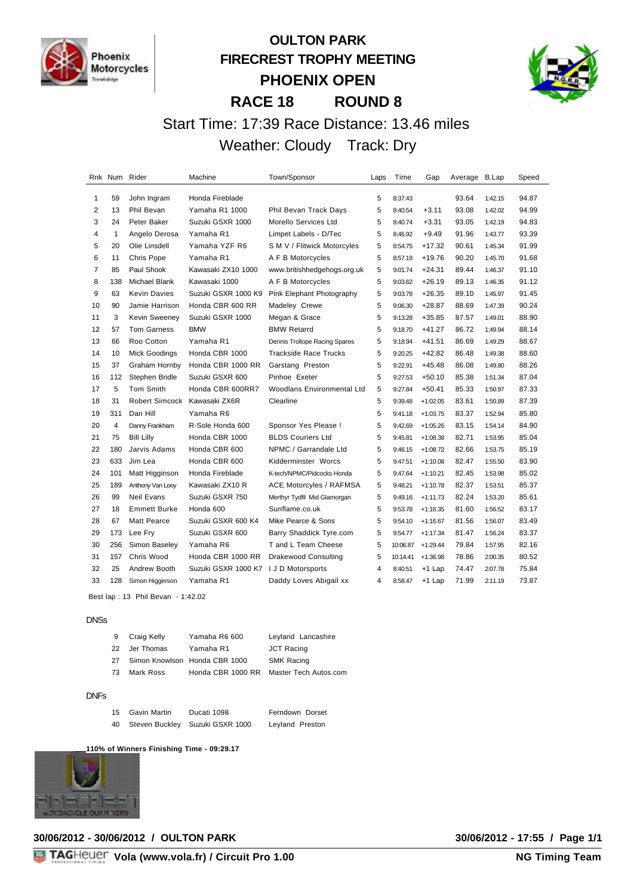

### **OULTON PARK FIRECREST TROPHY MEETING PHOENIX OPEN RACE 18 ROUND 8**



# Start Time: 17:39 Race Distance: 13.46 miles Weather: Cloudy Track: Dry

|                | Rnk Num Rider |                              | Machine                               | Town/Sponsor                      | Laps | Time     | Gap        | Average B.Lap |         | Speed |
|----------------|---------------|------------------------------|---------------------------------------|-----------------------------------|------|----------|------------|---------------|---------|-------|
| 1              | 59            | John Ingram                  | Honda Fireblade                       |                                   | 5    | 8:37.43  |            | 93.64         | 1:42.15 | 94.87 |
| 2              | 13            | Phil Bevan                   | Yamaha R1 1000                        | Phil Bevan Track Days             | 5    | 8:40.54  | $+3.11$    | 93.08         | 1:42.02 | 94.99 |
| 3              | 24            | Peter Baker                  | Suzuki GSXR 1000                      | Morello Services Ltd              | 5    | 8:40.74  | $+3.31$    | 93.05         | 1:42.19 | 94.83 |
| 4              | $\mathbf{1}$  | Angelo Derosa                | Yamaha R1                             | Limpet Labels - D/Tec             | 5    | 8:46.92  | $+9.49$    | 91.96         | 1:43.77 | 93.39 |
| 5              | 20            | Olie Linsdell                | Yamaha YZF R6                         | S M V / Flitwick Motorcyles       | 5    | 8:54.75  | $+17.32$   | 90.61         | 1:45.34 | 91.99 |
| 6              | 11            | Chris Pope                   | Yamaha R1                             | A F B Motorcycles                 | 5    | 8:57.19  | $+19.76$   | 90.20         | 1:45.70 | 91.68 |
| $\overline{7}$ | 85            | Paul Shook                   | Kawasaki ZX10 1000                    | www.britishhedgehogs.org.uk       | 5    | 9:01.74  | $+24.31$   | 89.44         | 1:46.37 | 91.10 |
| 8              | 138           | Michael Blank                | Kawasaki 1000                         | A F B Motorcycles                 | 5    | 9:03.62  | $+26.19$   | 89.13         | 1:46.35 | 91.12 |
| 9              | 63            | Kevin Davies                 | Suzuki GSXR 1000 K9                   | Pink Elephant Photography         | 5    | 9:03.78  | $+26.35$   | 89.10         | 1:45.97 | 91.45 |
| 10             | 90            | Jamie Harrison               | Honda CBR 600 RR                      | Madeley Crewe                     | 5    | 9:06.30  | $+28.87$   | 88.69         | 1:47.39 | 90.24 |
| 11             | 3             | Kevin Sweeney                | Suzuki GSXR 1000                      | Megan & Grace                     | 5    | 9:13.28  | $+35.85$   | 87.57         | 1:49.01 | 88.90 |
| 12             | 57            | <b>Tom Garness</b>           | <b>BMW</b>                            | <b>BMW Retarrd</b>                | 5    | 9:18.70  | $+41.27$   | 86.72         | 1:49.94 | 88.14 |
| 13             | 66            | Roo Cotton                   | Yamaha R1                             | Dennis Trollope Racing Spares     | 5    | 9:18.94  | $+41.51$   | 86.69         | 1:49.29 | 88.67 |
| 14             | 10            | Mick Goodings                | Honda CBR 1000                        | <b>Trackside Race Trucks</b>      | 5    | 9:20.25  | $+42.82$   | 86.48         | 1:49.38 | 88.60 |
| 15             | 37            | Graham Hornby                | Honda CBR 1000 RR                     | Garstang Preston                  | 5    | 9:22.91  | $+45.48$   | 86.08         | 1:49.80 | 88.26 |
| 16             | 112           | Stephen Bridle               | Suzuki GSXR 600                       | Pinhoe Exeter                     | 5    | 9:27.53  | $+50.10$   | 85.38         | 1:51.34 | 87.04 |
| 17             | 5             | <b>Tom Smith</b>             | Honda CBR 600RR7                      | <b>Woodlans Environmental Ltd</b> | 5    | 9:27.84  | $+50.41$   | 85.33         | 1:50.97 | 87.33 |
| 18             | 31            | Robert Simcock Kawasaki ZX6R |                                       | Clearline                         | 5    | 9:39.48  | $+1:02.05$ | 83.61         | 1:50.89 | 87.39 |
| 19             | 311           | Dan Hill                     | Yamaha R6                             |                                   | 5    | 9:41.18  | $+1:03.75$ | 83.37         | 1:52.94 | 85.80 |
| 20             | 4             | Danny Frankham               | R-Sole Honda 600                      | Sponsor Yes Please !              | 5    | 9:42.69  | $+1:05.26$ | 83.15         | 1:54.14 | 84.90 |
| 21             | 75            | <b>Bill Lilly</b>            | Honda CBR 1000                        | <b>BLDS Couriers Ltd</b>          | 5    | 9:45.81  | $+1:08.38$ | 82.71         | 1:53.95 | 85.04 |
| 22             | 180           | Jarvis Adams                 | Honda CBR 600                         | NPMC / Garrandale Ltd             | 5    | 9:46.15  | $+1:08.72$ | 82.66         | 1:53.75 | 85.19 |
| 23             | 633           | Jim Lea                      | Honda CBR 600                         | Kidderminster Worcs               | 5    | 9:47.51  | $+1:10.08$ | 82.47         | 1:55.50 | 83.90 |
| 24             | 101           | Matt Higginson               | Honda Fireblade                       | K-tech/NPMC/Pidcocks Honda        | 5    | 9:47.64  | $+1:10.21$ | 82.45         | 1:53.98 | 85.02 |
| 25             | 189           | Anthony Van Looy             | Kawasaki ZX10 R                       | ACE Motorcyles / RAFMSA           | 5    | 9:48.21  | $+1:10.78$ | 82.37         | 1:53.51 | 85.37 |
| 26             | 99            | Neil Evans                   | Suzuki GSXR 750                       | Merthyr Tydfil Mid Glamorgan      | 5    | 9:49.16  | $+1:11.73$ | 82.24         | 1:53.20 | 85.61 |
| 27             | 18            | <b>Emmett Burke</b>          | Honda 600                             | Sunflame.co.uk                    | 5    | 9:53.78  | $+1:16.35$ | 81.60         | 1:56.52 | 83.17 |
| 28             | 67            | <b>Matt Pearce</b>           | Suzuki GSXR 600 K4                    | Mike Pearce & Sons                | 5    | 9:54.10  | $+1:16.67$ | 81.56         | 1:56.07 | 83.49 |
| 29             | 173           | Lee Fry                      | Suzuki GSXR 600                       | Barry Shaddick Tyre.com           | 5    | 9:54.77  | $+1:17.34$ | 81.47         | 1:56.24 | 83.37 |
| 30             | 256           | Simon Baseley                | Yamaha R6                             | T and L Team Cheese               | 5    | 10:06.87 | $+1:29.44$ | 79.84         | 1:57.95 | 82.16 |
| 31             | 157           | Chris Wood                   | Honda CBR 1000 RR                     | <b>Drakewood Consulting</b>       | 5    | 10:14.41 | $+1:36.98$ | 78.86         | 2:00.35 | 80.52 |
| 32             | 25            | Andrew Booth                 | Suzuki GSXR 1000 K7 I J D Motorsports |                                   | 4    | 8:40.51  | +1 Lap     | 74.47         | 2:07.78 | 75.84 |
| 33             | 128           | Simon Higgerson              | Yamaha R1                             | Daddy Loves Abigail xx            | 4    | 8:58.47  | +1 Lap     | 71.99         | 2:11.19 | 73.87 |
|                |               |                              |                                       |                                   |      |          |            |               |         |       |

Best lap : 13 Phil Bevan - 1:42.02

#### DNSs

| 9  | Craig Kelly | Yamaha R6 600                 | Leyland Lancashire                      |
|----|-------------|-------------------------------|-----------------------------------------|
| 22 | Jer Thomas  | Yamaha R1                     | JCT Racing                              |
| 27 |             | Simon Knowlson Honda CBR 1000 | <b>SMK Racing</b>                       |
| 73 | Mark Ross   |                               | Honda CBR 1000 RR Master Tech Autos.com |

#### DNFs

|    | 15 Gavin Martin | Ducati 1098                     | Ferndown Dorset |
|----|-----------------|---------------------------------|-----------------|
| 40 |                 | Steven Buckley Suzuki GSXR 1000 | Leyland Preston |

**110% of Winners Finishing Time - 09:29.17**

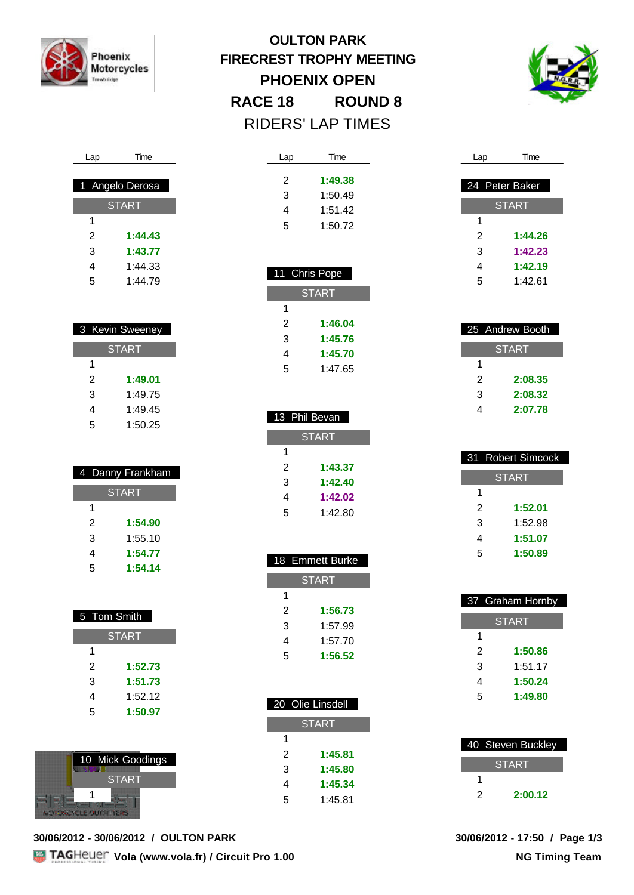

Lap Time

1 Angelo Derosa

**START** 

 **1:44.43 1:43.77** 1:44.33 1:44.79

 3 Kevin Sweeney **START** 

> **1:49.01** 1:49.75 1:49.45 1:50.25

| <b>OULTON PARK</b>              |                   |  |  |  |
|---------------------------------|-------------------|--|--|--|
| <b>FIRECREST TROPHY MEETING</b> |                   |  |  |  |
| <b>PHOENIX OPEN</b>             |                   |  |  |  |
| <b>RACE 18</b>                  | <b>ROUND 8</b>    |  |  |  |
|                                 | RIDERS' LAP TIMES |  |  |  |
|                                 |                   |  |  |  |

Lap Time

 **1:49.38** 1:50.49 1:51.42 1:50.72

11 Chris Pope

**START** 

 **1:46.04 1:45.76 1:45.70** 1:47.65



| Lap | Time           |
|-----|----------------|
|     |                |
|     | 24 Peter Baker |
|     | <b>START</b>   |
| 1   |                |
| 2   | 1:44.26        |
| 3   | 1:42.23        |
| 4   | 1:42.19        |
| 5   | 1·42 61        |
|     |                |

|              | 25 Andrew Booth |  |  |  |
|--------------|-----------------|--|--|--|
| <b>START</b> |                 |  |  |  |
|              |                 |  |  |  |
| 2            | 2:08.35         |  |  |  |
| 3            | 2:08.32         |  |  |  |
|              | 2:07.78         |  |  |  |

| 31 Robert Simcock |         |  |  |  |
|-------------------|---------|--|--|--|
| <b>START</b>      |         |  |  |  |
| 1                 |         |  |  |  |
| 2                 | 1:52.01 |  |  |  |
| 3                 | 1:52.98 |  |  |  |
| 4                 | 1:51.07 |  |  |  |
| 5                 | 1:50.89 |  |  |  |

| 37 Graham Hornby |         |  |  |
|------------------|---------|--|--|
| <b>START</b>     |         |  |  |
| 1                |         |  |  |
| 2                | 1:50.86 |  |  |
| 3                | 1:51.17 |  |  |
| 4                | 1:50.24 |  |  |
| 5                | 1:49.80 |  |  |

|       | 40 Steven Buckley |  |  |
|-------|-------------------|--|--|
| START |                   |  |  |
|       |                   |  |  |
| 2     | 2:00.12           |  |  |

| $25$ Andr      |
|----------------|
| <b>ST</b>      |
| 1              |
| $\overline{c}$ |
| 3              |
|                |
|                |

| 1              |                  |
|----------------|------------------|
| $\overline{2}$ | 1:52.01          |
| 3              | 1:52.98          |
| 4              | 1:51.07          |
| 5              | 1:50.89          |
|                |                  |
|                |                  |
|                | 37 Graham Hornby |
|                | <b>START</b>     |
| ٠              |                  |

| TAGHEUEL Vola (www.vola.fr) / Circuit Pro 1.00 | <b>NG Timing Team</b> |
|------------------------------------------------|-----------------------|

| 1 |         |
|---|---------|
| 2 | 1:43.37 |
| 3 | 1:42.40 |
| 4 | 1:42.02 |
| 5 | 1:42.80 |

**START** 

13 Phil Bevan

|   | 18 Emmett Burke |
|---|-----------------|
|   | <b>START</b>    |
| 1 |                 |
| 2 | 1:56.73         |
| 3 | 1:57.99         |
| 4 | 1:57.70         |
| 5 | 1:56.52         |
|   |                 |

|              | 20 Olie Linsdell |  |
|--------------|------------------|--|
| <b>START</b> |                  |  |
| 1            |                  |  |
| 2            | 1:45.81          |  |
| 3            | 1:45.80          |  |
| 4            | 1:45.34          |  |
| 5            | 1:45.81          |  |
|              |                  |  |

| 4 Danny Frankham |         |  |
|------------------|---------|--|
| <b>START</b>     |         |  |
| 1                |         |  |
| 2                | 1:54.90 |  |
| 3                | 1:55.10 |  |
| 4                | 1:54.77 |  |
| 5                | 1:54.14 |  |

| 5 Tom Smith |              |
|-------------|--------------|
|             | <b>START</b> |
| 1           |              |
| 2           | 1:52.73      |
| 3           | 1:51.73      |
| 4           | 1:52.12      |
| 5           | 1:50.97      |

| 10 Mick Goodings |  |
|------------------|--|
|                  |  |
| <b>START</b>     |  |
|                  |  |
|                  |  |

**30/06/2012 - 30/06/2012 / OULTON PARK 30/06/2012 - 17:50 / Page 1/3**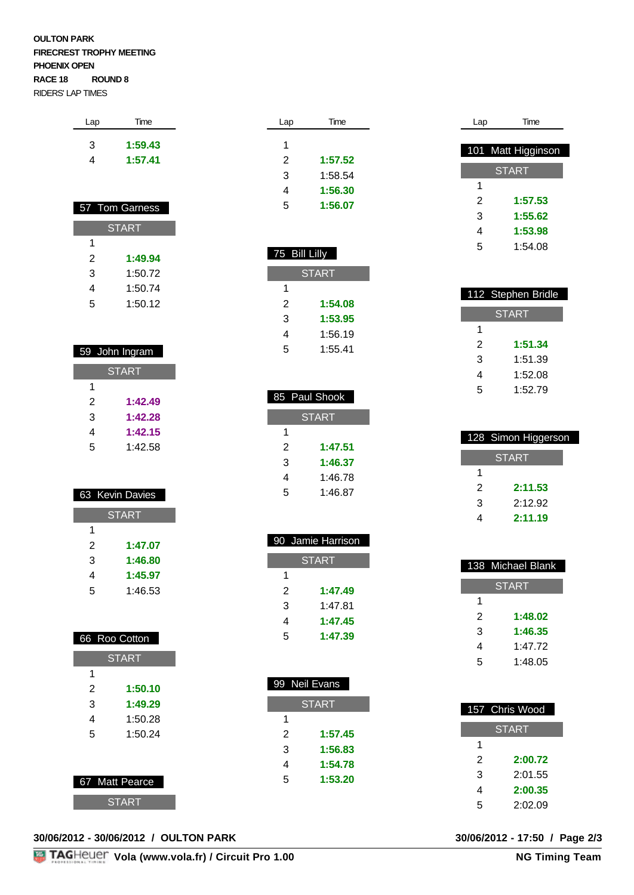### **OULTON PARK FIRECREST TROPHY MEETING PHOENIX OPEN RACE 18 ROUND 8**  RIDERS' LAP TIMES

| Lap | Time    |
|-----|---------|
| З   | 1:59.43 |
| 4   | 1:57.41 |
|     |         |

|              | 57 Tom Garness |  |
|--------------|----------------|--|
| <b>START</b> |                |  |
| 1            |                |  |
| 2            | 1:49.94        |  |
| 3            | 1:50.72        |  |
| 4            | 1:50.74        |  |
| 5            | 1:50.12        |  |

|              | 59 John Ingram |  |
|--------------|----------------|--|
| <b>START</b> |                |  |
| 1            |                |  |
| 2            | 1:42.49        |  |
| 3            | 1:42.28        |  |
| 4            | 1:42.15        |  |
| 5            | 1:42.58        |  |

|              | 63 Kevin Davies |
|--------------|-----------------|
| <b>START</b> |                 |
| 1            |                 |
| 2            | 1:47.07         |
| 3            | 1:46.80         |
| 4            | 1:45.97         |
| 5            | 1:46.53         |
|              |                 |

|                | 66 Roo Cotton |
|----------------|---------------|
|                | <b>START</b>  |
| 1              |               |
| 2              | 1:50.10       |
| 3              | 1:49.29       |
| 4              | 1:50.28       |
| 5              | 1:50.24       |
|                |               |
|                |               |
| 67 Matt Pearce |               |

**START** 

### **30/06/2012 - 30/06/2012 / OULTON PARK 30/06/2012 - 17:50 / Page 2/3**

| Lap | Time    |
|-----|---------|
| 1   |         |
|     |         |
| 2   | 1:57.52 |
| 3   | 1:58.54 |
| 4   | 1:56.30 |
| 5   | 1:56.07 |
|     |         |

| 75 Bill Lilly |         |  |
|---------------|---------|--|
| <b>START</b>  |         |  |
| 1             |         |  |
| 2             | 1:54.08 |  |
| 3             | 1:53.95 |  |
| 4             | 1:56.19 |  |
| 5             | 1:55.41 |  |

|              | 85 Paul Shook |  |
|--------------|---------------|--|
| <b>START</b> |               |  |
| 1            |               |  |
| 2            | 1:47.51       |  |
| 3            | 1:46.37       |  |
| 4            | 1:46.78       |  |
| 5            | 1:46.87       |  |

I

|              | 90 Jamie Harrison |  |
|--------------|-------------------|--|
| <b>START</b> |                   |  |
| 1            |                   |  |
| 2            | 1:47.49           |  |
| 3            | 1:47.81           |  |
| 4            | 1:47.45           |  |
| 5            | 1:47.39           |  |

| 99 Neil Evans |         |  |
|---------------|---------|--|
| <b>START</b>  |         |  |
| 1             |         |  |
| 2             | 1:57.45 |  |
| 3             | 1:56.83 |  |
| 4             | 1:54.78 |  |
| 5             | 1:53.20 |  |
|               |         |  |

| Lap | Time               |
|-----|--------------------|
|     |                    |
|     | 101 Matt Higginson |
|     | START              |
|     |                    |
| 1   |                    |
| 2   | 1:57.53            |
| 3   | 1:55.62            |
| 4   | 1:53.98            |
| 5   | 1:54.08            |
|     |                    |

| 112 Stephen Bridle |         |  |
|--------------------|---------|--|
| <b>START</b>       |         |  |
| 1                  |         |  |
| 2                  | 1:51.34 |  |
| 3                  | 1:51.39 |  |
| 4                  | 1:52.08 |  |
| 5                  | 1:52.79 |  |

|              | 128 Simon Higgerson |  |
|--------------|---------------------|--|
| <b>START</b> |                     |  |
|              |                     |  |
| 2            | 2:11.53             |  |
| 3            | 2:12.92             |  |
|              | 2:11.19             |  |

|              | 138 Michael Blank |  |
|--------------|-------------------|--|
| <b>START</b> |                   |  |
| 1            |                   |  |
| 2            | 1:48.02           |  |
| 3            | 1:46.35           |  |
| 4            | 1:47 72           |  |
| 5            | 1:48.05           |  |

|              | 157 Chris Wood |  |
|--------------|----------------|--|
| <b>START</b> |                |  |
| 1            |                |  |
| 2            | 2:00.72        |  |
| 3            | 2:01.55        |  |
| 4            | 2:00.35        |  |
| 5            | 2:02.09        |  |

30/06/2012 - 17:50 / Page 2/3<br>NG Timing Team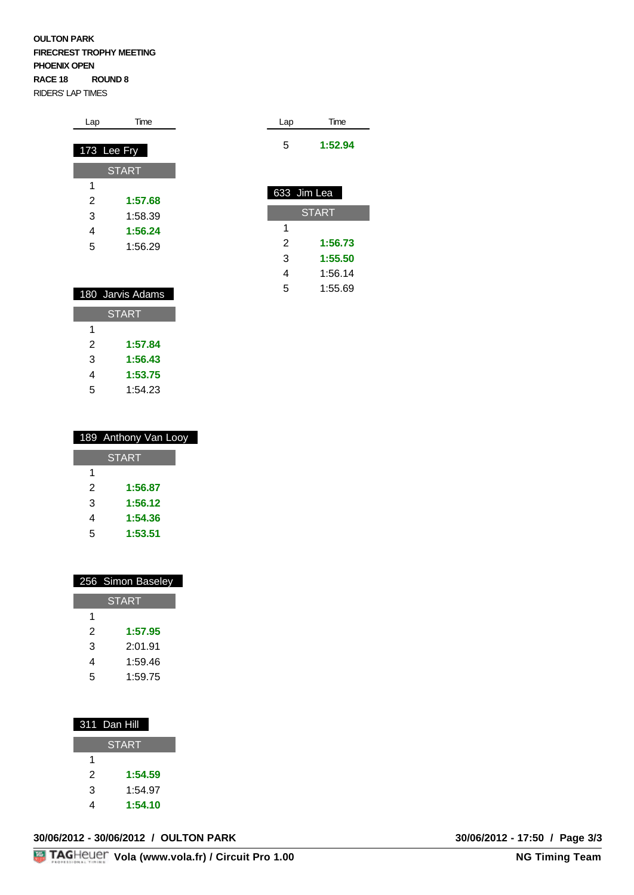### **OULTON PARK FIRECREST TROPHY MEETING PHOENIX OPEN RACE 18 ROUND 8**  RIDERS' LAP TIMES

| Lap         | Time         |
|-------------|--------------|
|             |              |
| 173 Lee Fry |              |
|             | <b>START</b> |
| 1           |              |
| 2           | 1:57.68      |
| 3           | 1:58.39      |
| 4           | 1:56.24      |
| 5           | 1:56.29      |
|             |              |

Lap Time

633 Jim Lea

1

5 **1:52.94**

**START** 

2 **1:56.73** 3 **1:55.50** 4 1:56.14 5 1:55.69

|   | 180 Jarvis Adams |
|---|------------------|
|   | <b>START</b>     |
| 1 |                  |
| 2 | 1:57.84          |
| 3 | 1:56.43          |
| 4 | 1:53.75          |
| 5 | 1:54.23          |

|   | 189 Anthony Van Looy |
|---|----------------------|
|   | <b>START</b>         |
| 1 |                      |
| 2 | 1:56.87              |
| 3 | 1:56.12              |
| 4 | 1:54.36              |
| 5 | 1:53.51              |

|   | 256 Simon Baseley |
|---|-------------------|
|   | <b>START</b>      |
| 1 |                   |
| 2 | 1:57.95           |
| 3 | 2:01.91           |
| 4 | 1:59.46           |
| 5 | 1:59.75           |

| 311 Dan Hill |  |
|--------------|--|
|              |  |

|   | <b>START</b> |
|---|--------------|
| 1 |              |
| 2 | 1:54.59      |
| 3 | 1:54.97      |
|   | 1:54.10      |

|  |  |  |  | 30/06/2012 - 30/06/2012 / OULTON PARK |
|--|--|--|--|---------------------------------------|
|--|--|--|--|---------------------------------------|